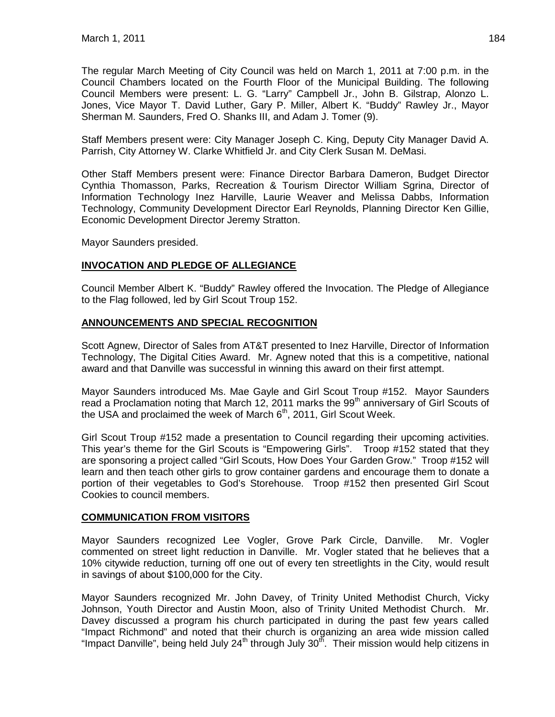The regular March Meeting of City Council was held on March 1, 2011 at 7:00 p.m. in the Council Chambers located on the Fourth Floor of the Municipal Building. The following Council Members were present: L. G. "Larry" Campbell Jr., John B. Gilstrap, Alonzo L. Jones, Vice Mayor T. David Luther, Gary P. Miller, Albert K. "Buddy" Rawley Jr., Mayor Sherman M. Saunders, Fred O. Shanks III, and Adam J. Tomer (9).

Staff Members present were: City Manager Joseph C. King, Deputy City Manager David A. Parrish, City Attorney W. Clarke Whitfield Jr. and City Clerk Susan M. DeMasi.

Other Staff Members present were: Finance Director Barbara Dameron, Budget Director Cynthia Thomasson, Parks, Recreation & Tourism Director William Sgrina, Director of Information Technology Inez Harville, Laurie Weaver and Melissa Dabbs, Information Technology, Community Development Director Earl Reynolds, Planning Director Ken Gillie, Economic Development Director Jeremy Stratton.

Mayor Saunders presided.

# **INVOCATION AND PLEDGE OF ALLEGIANCE**

Council Member Albert K. "Buddy" Rawley offered the Invocation. The Pledge of Allegiance to the Flag followed, led by Girl Scout Troup 152.

### **ANNOUNCEMENTS AND SPECIAL RECOGNITION**

Scott Agnew, Director of Sales from AT&T presented to Inez Harville, Director of Information Technology, The Digital Cities Award. Mr. Agnew noted that this is a competitive, national award and that Danville was successful in winning this award on their first attempt.

Mayor Saunders introduced Ms. Mae Gayle and Girl Scout Troup #152. Mayor Saunders read a Proclamation noting that March 12, 2011 marks the  $99<sup>th</sup>$  anniversary of Girl Scouts of the USA and proclaimed the week of March  $6<sup>th</sup>$ , 2011, Girl Scout Week.

Girl Scout Troup #152 made a presentation to Council regarding their upcoming activities. This year's theme for the Girl Scouts is "Empowering Girls". Troop #152 stated that they are sponsoring a project called "Girl Scouts, How Does Your Garden Grow." Troop #152 will learn and then teach other girls to grow container gardens and encourage them to donate a portion of their vegetables to God's Storehouse. Troop #152 then presented Girl Scout Cookies to council members.

### **COMMUNICATION FROM VISITORS**

Mayor Saunders recognized Lee Vogler, Grove Park Circle, Danville. Mr. Vogler commented on street light reduction in Danville. Mr. Vogler stated that he believes that a 10% citywide reduction, turning off one out of every ten streetlights in the City, would result in savings of about \$100,000 for the City.

Mayor Saunders recognized Mr. John Davey, of Trinity United Methodist Church, Vicky Johnson, Youth Director and Austin Moon, also of Trinity United Methodist Church. Mr. Davey discussed a program his church participated in during the past few years called "Impact Richmond" and noted that their church is organizing an area wide mission called "Impact Danville", being held July 24<sup>th</sup> through July 30<sup>th</sup>. Their mission would help citizens in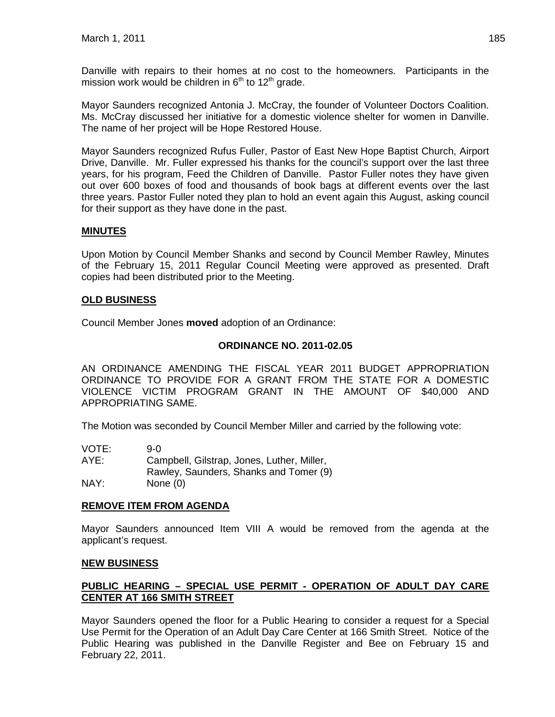Danville with repairs to their homes at no cost to the homeowners. Participants in the mission work would be children in  $6<sup>th</sup>$  to 12<sup>th</sup> grade.

Mayor Saunders recognized Antonia J. McCray, the founder of Volunteer Doctors Coalition. Ms. McCray discussed her initiative for a domestic violence shelter for women in Danville. The name of her project will be Hope Restored House.

Mayor Saunders recognized Rufus Fuller, Pastor of East New Hope Baptist Church, Airport Drive, Danville. Mr. Fuller expressed his thanks for the council's support over the last three years, for his program, Feed the Children of Danville. Pastor Fuller notes they have given out over 600 boxes of food and thousands of book bags at different events over the last three years. Pastor Fuller noted they plan to hold an event again this August, asking council for their support as they have done in the past.

# **MINUTES**

Upon Motion by Council Member Shanks and second by Council Member Rawley, Minutes of the February 15, 2011 Regular Council Meeting were approved as presented. Draft copies had been distributed prior to the Meeting.

# **OLD BUSINESS**

Council Member Jones **moved** adoption of an Ordinance:

### **ORDINANCE NO. 2011-02.05**

AN ORDINANCE AMENDING THE FISCAL YEAR 2011 BUDGET APPROPRIATION ORDINANCE TO PROVIDE FOR A GRANT FROM THE STATE FOR A DOMESTIC VIOLENCE VICTIM PROGRAM GRANT IN THE AMOUNT OF \$40,000 AND APPROPRIATING SAME.

The Motion was seconded by Council Member Miller and carried by the following vote:

| VOTE: | 9-0.                                       |
|-------|--------------------------------------------|
| AYE:  | Campbell, Gilstrap, Jones, Luther, Miller, |
|       | Rawley, Saunders, Shanks and Tomer (9)     |
| NAY:  | None $(0)$                                 |

### **REMOVE ITEM FROM AGENDA**

Mayor Saunders announced Item VIII A would be removed from the agenda at the applicant's request.

#### **NEW BUSINESS**

# **PUBLIC HEARING – SPECIAL USE PERMIT - OPERATION OF ADULT DAY CARE CENTER AT 166 SMITH STREET**

Mayor Saunders opened the floor for a Public Hearing to consider a request for a Special Use Permit for the Operation of an Adult Day Care Center at 166 Smith Street. Notice of the Public Hearing was published in the Danville Register and Bee on February 15 and February 22, 2011.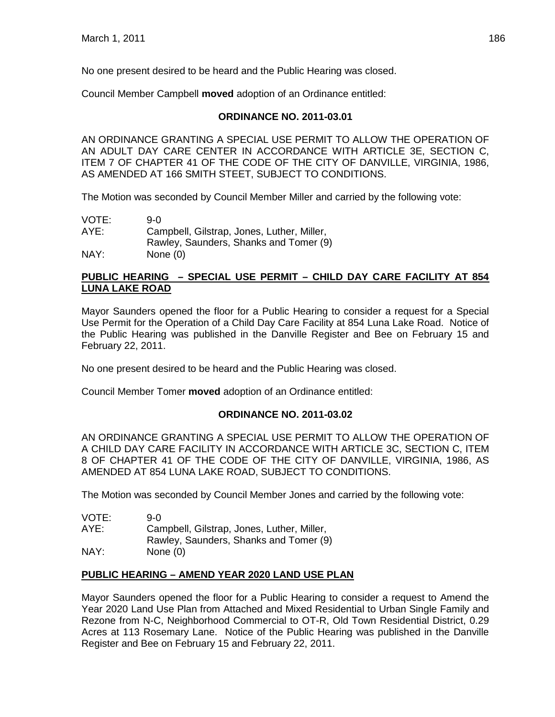No one present desired to be heard and the Public Hearing was closed.

Council Member Campbell **moved** adoption of an Ordinance entitled:

# **ORDINANCE NO. 2011-03.01**

AN ORDINANCE GRANTING A SPECIAL USE PERMIT TO ALLOW THE OPERATION OF AN ADULT DAY CARE CENTER IN ACCORDANCE WITH ARTICLE 3E, SECTION C, ITEM 7 OF CHAPTER 41 OF THE CODE OF THE CITY OF DANVILLE, VIRGINIA, 1986, AS AMENDED AT 166 SMITH STEET, SUBJECT TO CONDITIONS.

The Motion was seconded by Council Member Miller and carried by the following vote:

| VOTE: | 9-0                                        |
|-------|--------------------------------------------|
| AYE:  | Campbell, Gilstrap, Jones, Luther, Miller, |
|       | Rawley, Saunders, Shanks and Tomer (9)     |
| NAY:  | None $(0)$                                 |

# **PUBLIC HEARING – SPECIAL USE PERMIT – CHILD DAY CARE FACILITY AT 854 LUNA LAKE ROAD**

Mayor Saunders opened the floor for a Public Hearing to consider a request for a Special Use Permit for the Operation of a Child Day Care Facility at 854 Luna Lake Road. Notice of the Public Hearing was published in the Danville Register and Bee on February 15 and February 22, 2011.

No one present desired to be heard and the Public Hearing was closed.

Council Member Tomer **moved** adoption of an Ordinance entitled:

### **ORDINANCE NO. 2011-03.02**

AN ORDINANCE GRANTING A SPECIAL USE PERMIT TO ALLOW THE OPERATION OF A CHILD DAY CARE FACILITY IN ACCORDANCE WITH ARTICLE 3C, SECTION C, ITEM 8 OF CHAPTER 41 OF THE CODE OF THE CITY OF DANVILLE, VIRGINIA, 1986, AS AMENDED AT 854 LUNA LAKE ROAD, SUBJECT TO CONDITIONS.

The Motion was seconded by Council Member Jones and carried by the following vote:

| VOTE: | 9-0.                                       |
|-------|--------------------------------------------|
| AYE:  | Campbell, Gilstrap, Jones, Luther, Miller, |
|       | Rawley, Saunders, Shanks and Tomer (9)     |
| NAY:  | None $(0)$                                 |

# **PUBLIC HEARING – AMEND YEAR 2020 LAND USE PLAN**

Mayor Saunders opened the floor for a Public Hearing to consider a request to Amend the Year 2020 Land Use Plan from Attached and Mixed Residential to Urban Single Family and Rezone from N-C, Neighborhood Commercial to OT-R, Old Town Residential District, 0.29 Acres at 113 Rosemary Lane. Notice of the Public Hearing was published in the Danville Register and Bee on February 15 and February 22, 2011.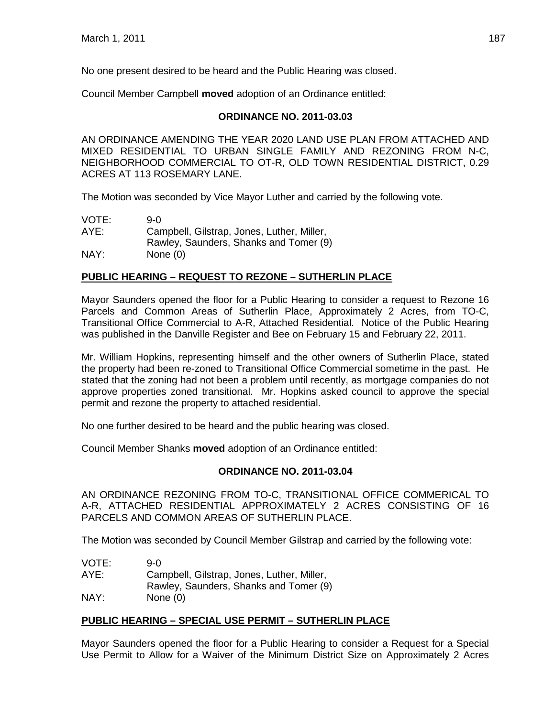No one present desired to be heard and the Public Hearing was closed.

Council Member Campbell **moved** adoption of an Ordinance entitled:

# **ORDINANCE NO. 2011-03.03**

AN ORDINANCE AMENDING THE YEAR 2020 LAND USE PLAN FROM ATTACHED AND MIXED RESIDENTIAL TO URBAN SINGLE FAMILY AND REZONING FROM N-C, NEIGHBORHOOD COMMERCIAL TO OT-R, OLD TOWN RESIDENTIAL DISTRICT, 0.29 ACRES AT 113 ROSEMARY LANE.

The Motion was seconded by Vice Mayor Luther and carried by the following vote.

| VOTE: | 9-0                                        |
|-------|--------------------------------------------|
| AYE:  | Campbell, Gilstrap, Jones, Luther, Miller, |
|       | Rawley, Saunders, Shanks and Tomer (9)     |
| NAY:  | None $(0)$                                 |

# **PUBLIC HEARING – REQUEST TO REZONE – SUTHERLIN PLACE**

Mayor Saunders opened the floor for a Public Hearing to consider a request to Rezone 16 Parcels and Common Areas of Sutherlin Place, Approximately 2 Acres, from TO-C, Transitional Office Commercial to A-R, Attached Residential. Notice of the Public Hearing was published in the Danville Register and Bee on February 15 and February 22, 2011.

Mr. William Hopkins, representing himself and the other owners of Sutherlin Place, stated the property had been re-zoned to Transitional Office Commercial sometime in the past. He stated that the zoning had not been a problem until recently, as mortgage companies do not approve properties zoned transitional. Mr. Hopkins asked council to approve the special permit and rezone the property to attached residential.

No one further desired to be heard and the public hearing was closed.

Council Member Shanks **moved** adoption of an Ordinance entitled:

### **ORDINANCE NO. 2011-03.04**

AN ORDINANCE REZONING FROM TO-C, TRANSITIONAL OFFICE COMMERICAL TO A-R, ATTACHED RESIDENTIAL APPROXIMATELY 2 ACRES CONSISTING OF 16 PARCELS AND COMMON AREAS OF SUTHERLIN PLACE.

The Motion was seconded by Council Member Gilstrap and carried by the following vote:

| VOTE: | 9-0.                                       |
|-------|--------------------------------------------|
| AYE:  | Campbell, Gilstrap, Jones, Luther, Miller, |
|       | Rawley, Saunders, Shanks and Tomer (9)     |
| NAY:  | None $(0)$                                 |

# **PUBLIC HEARING – SPECIAL USE PERMIT – SUTHERLIN PLACE**

Mayor Saunders opened the floor for a Public Hearing to consider a Request for a Special Use Permit to Allow for a Waiver of the Minimum District Size on Approximately 2 Acres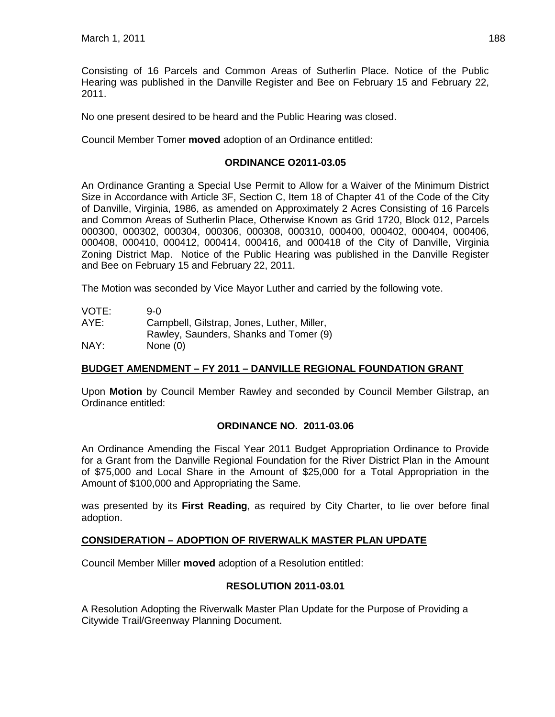Consisting of 16 Parcels and Common Areas of Sutherlin Place. Notice of the Public Hearing was published in the Danville Register and Bee on February 15 and February 22, 2011.

No one present desired to be heard and the Public Hearing was closed.

Council Member Tomer **moved** adoption of an Ordinance entitled:

#### **ORDINANCE O2011-03.05**

An Ordinance Granting a Special Use Permit to Allow for a Waiver of the Minimum District Size in Accordance with Article 3F, Section C, Item 18 of Chapter 41 of the Code of the City of Danville, Virginia, 1986, as amended on Approximately 2 Acres Consisting of 16 Parcels and Common Areas of Sutherlin Place, Otherwise Known as Grid 1720, Block 012, Parcels 000300, 000302, 000304, 000306, 000308, 000310, 000400, 000402, 000404, 000406, 000408, 000410, 000412, 000414, 000416, and 000418 of the City of Danville, Virginia Zoning District Map. Notice of the Public Hearing was published in the Danville Register and Bee on February 15 and February 22, 2011.

The Motion was seconded by Vice Mayor Luther and carried by the following vote.

| VOTE: | 9-0                                        |
|-------|--------------------------------------------|
| AYE:  | Campbell, Gilstrap, Jones, Luther, Miller, |
|       | Rawley, Saunders, Shanks and Tomer (9)     |
| NAY:  | None $(0)$                                 |

### **BUDGET AMENDMENT – FY 2011 – DANVILLE REGIONAL FOUNDATION GRANT**

Upon **Motion** by Council Member Rawley and seconded by Council Member Gilstrap, an Ordinance entitled:

#### **ORDINANCE NO. 2011-03.06**

An Ordinance Amending the Fiscal Year 2011 Budget Appropriation Ordinance to Provide for a Grant from the Danville Regional Foundation for the River District Plan in the Amount of \$75,000 and Local Share in the Amount of \$25,000 for a Total Appropriation in the Amount of \$100,000 and Appropriating the Same.

was presented by its **First Reading**, as required by City Charter, to lie over before final adoption.

### **CONSIDERATION – ADOPTION OF RIVERWALK MASTER PLAN UPDATE**

Council Member Miller **moved** adoption of a Resolution entitled:

#### **RESOLUTION 2011-03.01**

A Resolution Adopting the Riverwalk Master Plan Update for the Purpose of Providing a Citywide Trail/Greenway Planning Document.